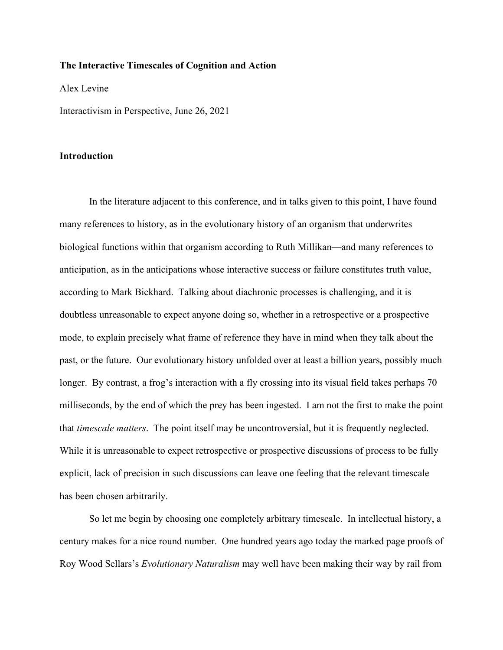# **The Interactive Timescales of Cognition and Action**

Alex Levine

Interactivism in Perspective, June 26, 2021

### **Introduction**

In the literature adjacent to this conference, and in talks given to this point, I have found many references to history, as in the evolutionary history of an organism that underwrites biological functions within that organism according to Ruth Millikan—and many references to anticipation, as in the anticipations whose interactive success or failure constitutes truth value, according to Mark Bickhard. Talking about diachronic processes is challenging, and it is doubtless unreasonable to expect anyone doing so, whether in a retrospective or a prospective mode, to explain precisely what frame of reference they have in mind when they talk about the past, or the future. Our evolutionary history unfolded over at least a billion years, possibly much longer. By contrast, a frog's interaction with a fly crossing into its visual field takes perhaps 70 milliseconds, by the end of which the prey has been ingested. I am not the first to make the point that *timescale matters*. The point itself may be uncontroversial, but it is frequently neglected. While it is unreasonable to expect retrospective or prospective discussions of process to be fully explicit, lack of precision in such discussions can leave one feeling that the relevant timescale has been chosen arbitrarily.

So let me begin by choosing one completely arbitrary timescale. In intellectual history, a century makes for a nice round number. One hundred years ago today the marked page proofs of Roy Wood Sellars's *Evolutionary Naturalism* may well have been making their way by rail from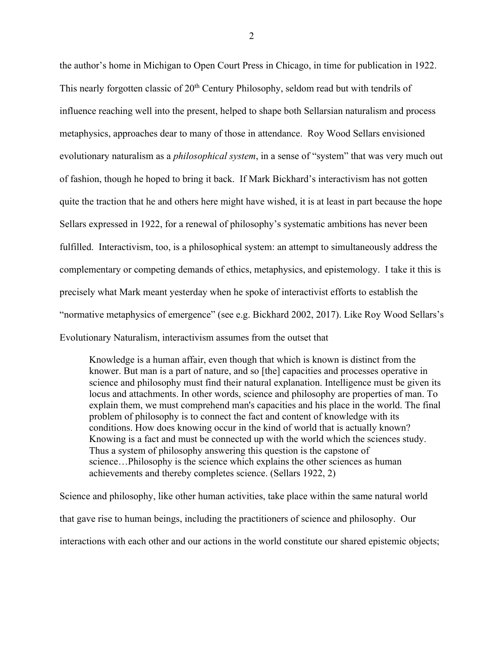the author's home in Michigan to Open Court Press in Chicago, in time for publication in 1922. This nearly forgotten classic of 20<sup>th</sup> Century Philosophy, seldom read but with tendrils of influence reaching well into the present, helped to shape both Sellarsian naturalism and process metaphysics, approaches dear to many of those in attendance. Roy Wood Sellars envisioned evolutionary naturalism as a *philosophical system*, in a sense of "system" that was very much out of fashion, though he hoped to bring it back. If Mark Bickhard's interactivism has not gotten quite the traction that he and others here might have wished, it is at least in part because the hope Sellars expressed in 1922, for a renewal of philosophy's systematic ambitions has never been fulfilled. Interactivism, too, is a philosophical system: an attempt to simultaneously address the complementary or competing demands of ethics, metaphysics, and epistemology. I take it this is precisely what Mark meant yesterday when he spoke of interactivist efforts to establish the "normative metaphysics of emergence" (see e.g. Bickhard 2002, 2017). Like Roy Wood Sellars's Evolutionary Naturalism, interactivism assumes from the outset that

Knowledge is a human affair, even though that which is known is distinct from the knower. But man is a part of nature, and so [the] capacities and processes operative in science and philosophy must find their natural explanation. Intelligence must be given its locus and attachments. In other words, science and philosophy are properties of man. To explain them, we must comprehend man's capacities and his place in the world. The final problem of philosophy is to connect the fact and content of knowledge with its conditions. How does knowing occur in the kind of world that is actually known? Knowing is a fact and must be connected up with the world which the sciences study. Thus a system of philosophy answering this question is the capstone of science…Philosophy is the science which explains the other sciences as human achievements and thereby completes science. (Sellars 1922, 2)

Science and philosophy, like other human activities, take place within the same natural world that gave rise to human beings, including the practitioners of science and philosophy. Our interactions with each other and our actions in the world constitute our shared epistemic objects;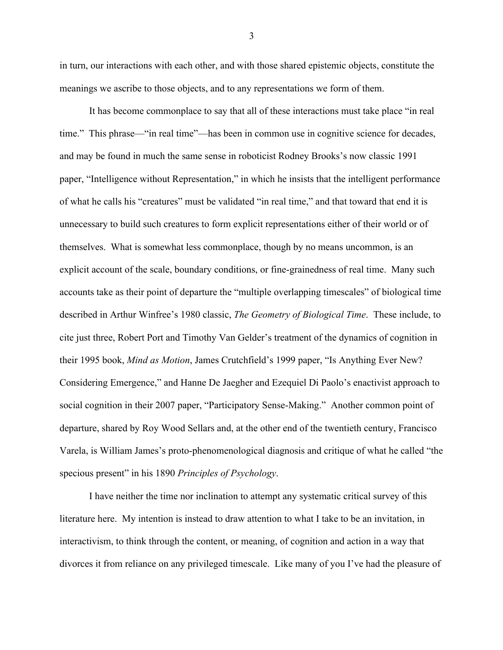in turn, our interactions with each other, and with those shared epistemic objects, constitute the meanings we ascribe to those objects, and to any representations we form of them.

It has become commonplace to say that all of these interactions must take place "in real time." This phrase—"in real time"—has been in common use in cognitive science for decades, and may be found in much the same sense in roboticist Rodney Brooks's now classic 1991 paper, "Intelligence without Representation," in which he insists that the intelligent performance of what he calls his "creatures" must be validated "in real time," and that toward that end it is unnecessary to build such creatures to form explicit representations either of their world or of themselves. What is somewhat less commonplace, though by no means uncommon, is an explicit account of the scale, boundary conditions, or fine-grainedness of real time. Many such accounts take as their point of departure the "multiple overlapping timescales" of biological time described in Arthur Winfree's 1980 classic, *The Geometry of Biological Time*. These include, to cite just three, Robert Port and Timothy Van Gelder's treatment of the dynamics of cognition in their 1995 book, *Mind as Motion*, James Crutchfield's 1999 paper, "Is Anything Ever New? Considering Emergence," and Hanne De Jaegher and Ezequiel Di Paolo's enactivist approach to social cognition in their 2007 paper, "Participatory Sense-Making." Another common point of departure, shared by Roy Wood Sellars and, at the other end of the twentieth century, Francisco Varela, is William James's proto-phenomenological diagnosis and critique of what he called "the specious present" in his 1890 *Principles of Psychology*.

I have neither the time nor inclination to attempt any systematic critical survey of this literature here. My intention is instead to draw attention to what I take to be an invitation, in interactivism, to think through the content, or meaning, of cognition and action in a way that divorces it from reliance on any privileged timescale. Like many of you I've had the pleasure of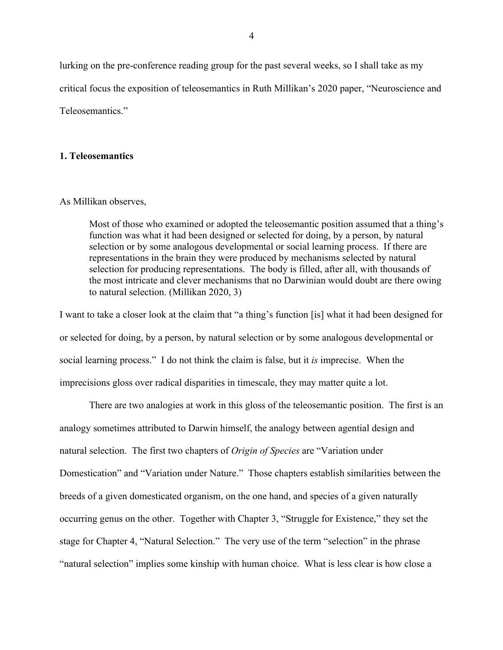lurking on the pre-conference reading group for the past several weeks, so I shall take as my critical focus the exposition of teleosemantics in Ruth Millikan's 2020 paper, "Neuroscience and Teleosemantics."

# **1. Teleosemantics**

#### As Millikan observes,

Most of those who examined or adopted the teleosemantic position assumed that a thing's function was what it had been designed or selected for doing, by a person, by natural selection or by some analogous developmental or social learning process. If there are representations in the brain they were produced by mechanisms selected by natural selection for producing representations. The body is filled, after all, with thousands of the most intricate and clever mechanisms that no Darwinian would doubt are there owing to natural selection. (Millikan 2020, 3)

I want to take a closer look at the claim that "a thing's function [is] what it had been designed for or selected for doing, by a person, by natural selection or by some analogous developmental or social learning process." I do not think the claim is false, but it *is* imprecise. When the imprecisions gloss over radical disparities in timescale, they may matter quite a lot.

There are two analogies at work in this gloss of the teleosemantic position. The first is an analogy sometimes attributed to Darwin himself, the analogy between agential design and natural selection. The first two chapters of *Origin of Species* are "Variation under Domestication" and "Variation under Nature." Those chapters establish similarities between the breeds of a given domesticated organism, on the one hand, and species of a given naturally occurring genus on the other. Together with Chapter 3, "Struggle for Existence," they set the stage for Chapter 4, "Natural Selection." The very use of the term "selection" in the phrase "natural selection" implies some kinship with human choice. What is less clear is how close a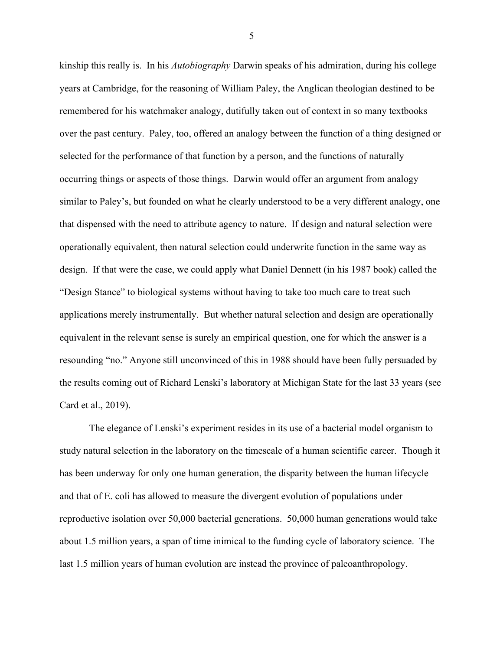kinship this really is. In his *Autobiography* Darwin speaks of his admiration, during his college years at Cambridge, for the reasoning of William Paley, the Anglican theologian destined to be remembered for his watchmaker analogy, dutifully taken out of context in so many textbooks over the past century. Paley, too, offered an analogy between the function of a thing designed or selected for the performance of that function by a person, and the functions of naturally occurring things or aspects of those things. Darwin would offer an argument from analogy similar to Paley's, but founded on what he clearly understood to be a very different analogy, one that dispensed with the need to attribute agency to nature. If design and natural selection were operationally equivalent, then natural selection could underwrite function in the same way as design. If that were the case, we could apply what Daniel Dennett (in his 1987 book) called the "Design Stance" to biological systems without having to take too much care to treat such applications merely instrumentally. But whether natural selection and design are operationally equivalent in the relevant sense is surely an empirical question, one for which the answer is a resounding "no." Anyone still unconvinced of this in 1988 should have been fully persuaded by the results coming out of Richard Lenski's laboratory at Michigan State for the last 33 years (see Card et al., 2019).

The elegance of Lenski's experiment resides in its use of a bacterial model organism to study natural selection in the laboratory on the timescale of a human scientific career. Though it has been underway for only one human generation, the disparity between the human lifecycle and that of E. coli has allowed to measure the divergent evolution of populations under reproductive isolation over 50,000 bacterial generations. 50,000 human generations would take about 1.5 million years, a span of time inimical to the funding cycle of laboratory science. The last 1.5 million years of human evolution are instead the province of paleoanthropology.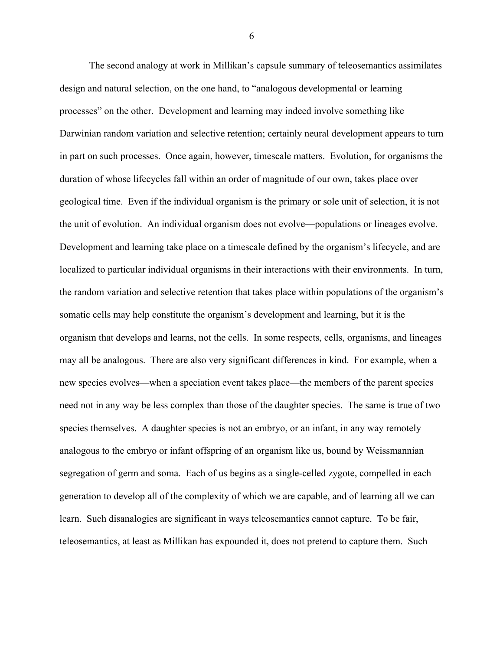The second analogy at work in Millikan's capsule summary of teleosemantics assimilates design and natural selection, on the one hand, to "analogous developmental or learning processes" on the other. Development and learning may indeed involve something like Darwinian random variation and selective retention; certainly neural development appears to turn in part on such processes. Once again, however, timescale matters. Evolution, for organisms the duration of whose lifecycles fall within an order of magnitude of our own, takes place over geological time. Even if the individual organism is the primary or sole unit of selection, it is not the unit of evolution. An individual organism does not evolve—populations or lineages evolve. Development and learning take place on a timescale defined by the organism's lifecycle, and are localized to particular individual organisms in their interactions with their environments. In turn, the random variation and selective retention that takes place within populations of the organism's somatic cells may help constitute the organism's development and learning, but it is the organism that develops and learns, not the cells. In some respects, cells, organisms, and lineages may all be analogous. There are also very significant differences in kind. For example, when a new species evolves—when a speciation event takes place—the members of the parent species need not in any way be less complex than those of the daughter species. The same is true of two species themselves. A daughter species is not an embryo, or an infant, in any way remotely analogous to the embryo or infant offspring of an organism like us, bound by Weissmannian segregation of germ and soma. Each of us begins as a single-celled zygote, compelled in each generation to develop all of the complexity of which we are capable, and of learning all we can learn. Such disanalogies are significant in ways teleosemantics cannot capture. To be fair, teleosemantics, at least as Millikan has expounded it, does not pretend to capture them. Such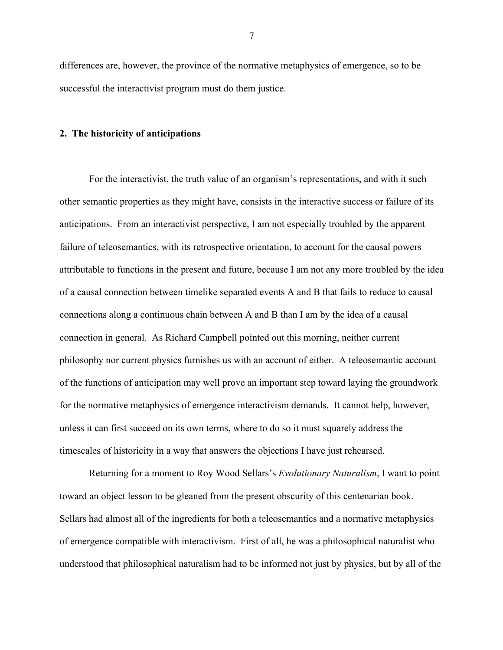differences are, however, the province of the normative metaphysics of emergence, so to be successful the interactivist program must do them justice.

### **2. The historicity of anticipations**

For the interactivist, the truth value of an organism's representations, and with it such other semantic properties as they might have, consists in the interactive success or failure of its anticipations. From an interactivist perspective, I am not especially troubled by the apparent failure of teleosemantics, with its retrospective orientation, to account for the causal powers attributable to functions in the present and future, because I am not any more troubled by the idea of a causal connection between timelike separated events A and B that fails to reduce to causal connections along a continuous chain between A and B than I am by the idea of a causal connection in general. As Richard Campbell pointed out this morning, neither current philosophy nor current physics furnishes us with an account of either. A teleosemantic account of the functions of anticipation may well prove an important step toward laying the groundwork for the normative metaphysics of emergence interactivism demands. It cannot help, however, unless it can first succeed on its own terms, where to do so it must squarely address the timescales of historicity in a way that answers the objections I have just rehearsed.

Returning for a moment to Roy Wood Sellars's *Evolutionary Naturalism*, I want to point toward an object lesson to be gleaned from the present obscurity of this centenarian book. Sellars had almost all of the ingredients for both a teleosemantics and a normative metaphysics of emergence compatible with interactivism. First of all, he was a philosophical naturalist who understood that philosophical naturalism had to be informed not just by physics, but by all of the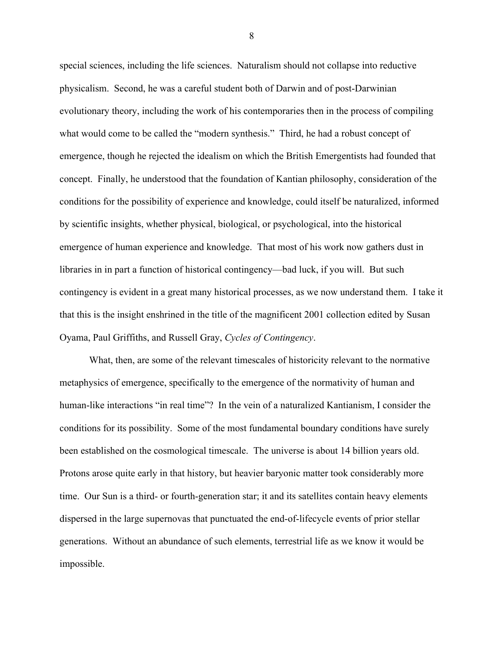special sciences, including the life sciences. Naturalism should not collapse into reductive physicalism. Second, he was a careful student both of Darwin and of post-Darwinian evolutionary theory, including the work of his contemporaries then in the process of compiling what would come to be called the "modern synthesis." Third, he had a robust concept of emergence, though he rejected the idealism on which the British Emergentists had founded that concept. Finally, he understood that the foundation of Kantian philosophy, consideration of the conditions for the possibility of experience and knowledge, could itself be naturalized, informed by scientific insights, whether physical, biological, or psychological, into the historical emergence of human experience and knowledge. That most of his work now gathers dust in libraries in in part a function of historical contingency—bad luck, if you will. But such contingency is evident in a great many historical processes, as we now understand them. I take it that this is the insight enshrined in the title of the magnificent 2001 collection edited by Susan Oyama, Paul Griffiths, and Russell Gray, *Cycles of Contingency*.

What, then, are some of the relevant timescales of historicity relevant to the normative metaphysics of emergence, specifically to the emergence of the normativity of human and human-like interactions "in real time"? In the vein of a naturalized Kantianism, I consider the conditions for its possibility. Some of the most fundamental boundary conditions have surely been established on the cosmological timescale. The universe is about 14 billion years old. Protons arose quite early in that history, but heavier baryonic matter took considerably more time. Our Sun is a third- or fourth-generation star; it and its satellites contain heavy elements dispersed in the large supernovas that punctuated the end-of-lifecycle events of prior stellar generations. Without an abundance of such elements, terrestrial life as we know it would be impossible.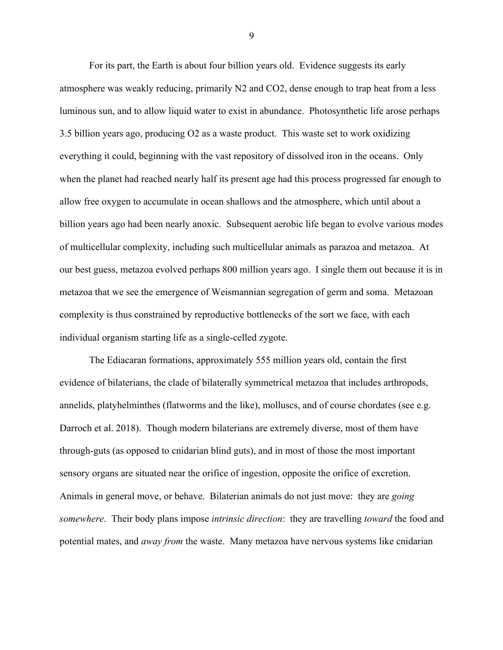For its part, the Earth is about four billion years old. Evidence suggests its early atmosphere was weakly reducing, primarily N2 and CO2, dense enough to trap heat from a less luminous sun, and to allow liquid water to exist in abundance. Photosynthetic life arose perhaps 3.5 billion years ago, producing O2 as a waste product. This waste set to work oxidizing everything it could, beginning with the vast repository of dissolved iron in the oceans. Only when the planet had reached nearly half its present age had this process progressed far enough to allow free oxygen to accumulate in ocean shallows and the atmosphere, which until about a billion years ago had been nearly anoxic. Subsequent aerobic life began to evolve various modes of multicellular complexity, including such multicellular animals as parazoa and metazoa. At our best guess, metazoa evolved perhaps 800 million years ago. I single them out because it is in metazoa that we see the emergence of Weismannian segregation of germ and soma. Metazoan complexity is thus constrained by reproductive bottlenecks of the sort we face, with each individual organism starting life as a single-celled zygote.

The Ediacaran formations, approximately 555 million years old, contain the first evidence of bilaterians, the clade of bilaterally symmetrical metazoa that includes arthropods, annelids, platyhelminthes (flatworms and the like), molluscs, and of course chordates (see e.g. Darroch et al. 2018). Though modern bilaterians are extremely diverse, most of them have through-guts (as opposed to cnidarian blind guts), and in most of those the most important sensory organs are situated near the orifice of ingestion, opposite the orifice of excretion. Animals in general move, or behave. Bilaterian animals do not just move: they are *going somewhere*. Their body plans impose *intrinsic direction*: they are travelling *toward* the food and potential mates, and *away from* the waste. Many metazoa have nervous systems like cnidarian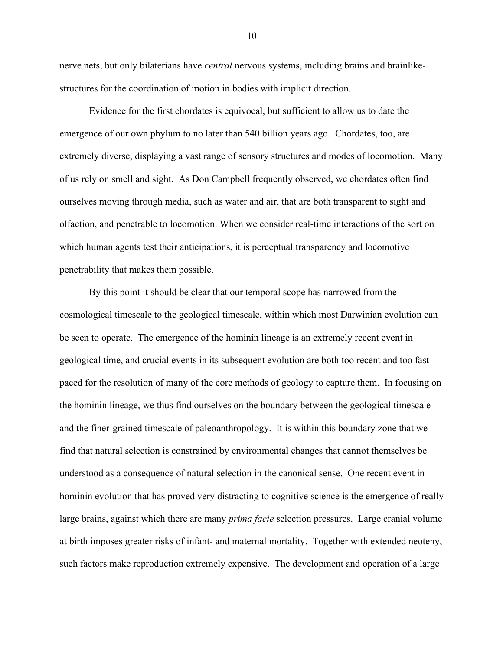nerve nets, but only bilaterians have *central* nervous systems, including brains and brainlikestructures for the coordination of motion in bodies with implicit direction.

Evidence for the first chordates is equivocal, but sufficient to allow us to date the emergence of our own phylum to no later than 540 billion years ago. Chordates, too, are extremely diverse, displaying a vast range of sensory structures and modes of locomotion. Many of us rely on smell and sight. As Don Campbell frequently observed, we chordates often find ourselves moving through media, such as water and air, that are both transparent to sight and olfaction, and penetrable to locomotion. When we consider real-time interactions of the sort on which human agents test their anticipations, it is perceptual transparency and locomotive penetrability that makes them possible.

By this point it should be clear that our temporal scope has narrowed from the cosmological timescale to the geological timescale, within which most Darwinian evolution can be seen to operate. The emergence of the hominin lineage is an extremely recent event in geological time, and crucial events in its subsequent evolution are both too recent and too fastpaced for the resolution of many of the core methods of geology to capture them. In focusing on the hominin lineage, we thus find ourselves on the boundary between the geological timescale and the finer-grained timescale of paleoanthropology. It is within this boundary zone that we find that natural selection is constrained by environmental changes that cannot themselves be understood as a consequence of natural selection in the canonical sense. One recent event in hominin evolution that has proved very distracting to cognitive science is the emergence of really large brains, against which there are many *prima facie* selection pressures. Large cranial volume at birth imposes greater risks of infant- and maternal mortality. Together with extended neoteny, such factors make reproduction extremely expensive. The development and operation of a large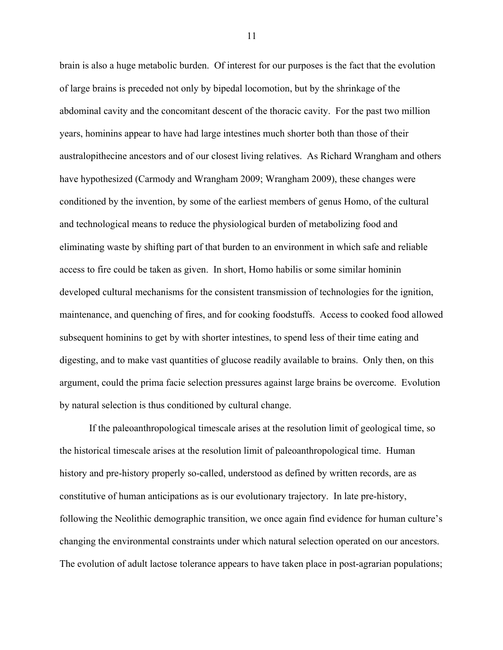brain is also a huge metabolic burden. Of interest for our purposes is the fact that the evolution of large brains is preceded not only by bipedal locomotion, but by the shrinkage of the abdominal cavity and the concomitant descent of the thoracic cavity. For the past two million years, hominins appear to have had large intestines much shorter both than those of their australopithecine ancestors and of our closest living relatives. As Richard Wrangham and others have hypothesized (Carmody and Wrangham 2009; Wrangham 2009), these changes were conditioned by the invention, by some of the earliest members of genus Homo, of the cultural and technological means to reduce the physiological burden of metabolizing food and eliminating waste by shifting part of that burden to an environment in which safe and reliable access to fire could be taken as given. In short, Homo habilis or some similar hominin developed cultural mechanisms for the consistent transmission of technologies for the ignition, maintenance, and quenching of fires, and for cooking foodstuffs. Access to cooked food allowed subsequent hominins to get by with shorter intestines, to spend less of their time eating and digesting, and to make vast quantities of glucose readily available to brains. Only then, on this argument, could the prima facie selection pressures against large brains be overcome. Evolution by natural selection is thus conditioned by cultural change.

If the paleoanthropological timescale arises at the resolution limit of geological time, so the historical timescale arises at the resolution limit of paleoanthropological time. Human history and pre-history properly so-called, understood as defined by written records, are as constitutive of human anticipations as is our evolutionary trajectory. In late pre-history, following the Neolithic demographic transition, we once again find evidence for human culture's changing the environmental constraints under which natural selection operated on our ancestors. The evolution of adult lactose tolerance appears to have taken place in post-agrarian populations;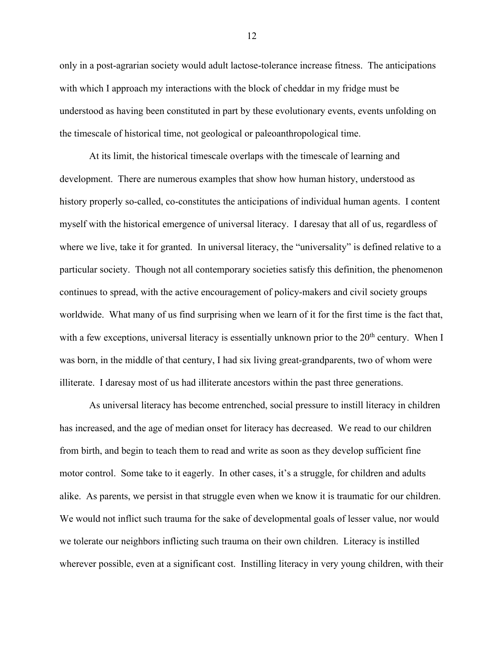only in a post-agrarian society would adult lactose-tolerance increase fitness. The anticipations with which I approach my interactions with the block of cheddar in my fridge must be understood as having been constituted in part by these evolutionary events, events unfolding on the timescale of historical time, not geological or paleoanthropological time.

At its limit, the historical timescale overlaps with the timescale of learning and development. There are numerous examples that show how human history, understood as history properly so-called, co-constitutes the anticipations of individual human agents. I content myself with the historical emergence of universal literacy. I daresay that all of us, regardless of where we live, take it for granted. In universal literacy, the "universality" is defined relative to a particular society. Though not all contemporary societies satisfy this definition, the phenomenon continues to spread, with the active encouragement of policy-makers and civil society groups worldwide. What many of us find surprising when we learn of it for the first time is the fact that, with a few exceptions, universal literacy is essentially unknown prior to the  $20<sup>th</sup>$  century. When I was born, in the middle of that century, I had six living great-grandparents, two of whom were illiterate. I daresay most of us had illiterate ancestors within the past three generations.

As universal literacy has become entrenched, social pressure to instill literacy in children has increased, and the age of median onset for literacy has decreased. We read to our children from birth, and begin to teach them to read and write as soon as they develop sufficient fine motor control. Some take to it eagerly. In other cases, it's a struggle, for children and adults alike. As parents, we persist in that struggle even when we know it is traumatic for our children. We would not inflict such trauma for the sake of developmental goals of lesser value, nor would we tolerate our neighbors inflicting such trauma on their own children. Literacy is instilled wherever possible, even at a significant cost. Instilling literacy in very young children, with their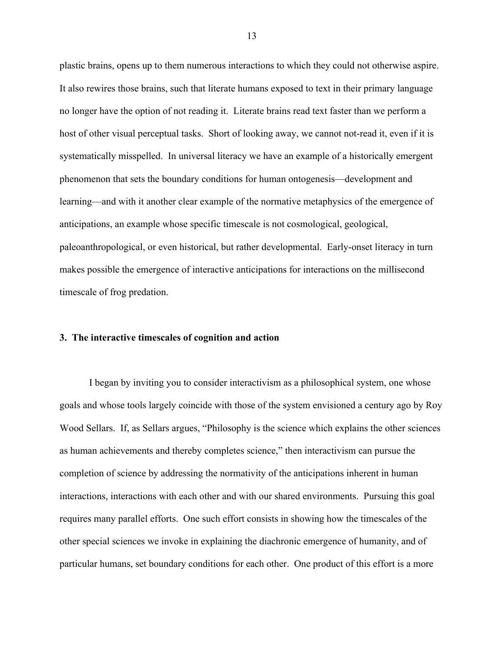plastic brains, opens up to them numerous interactions to which they could not otherwise aspire. It also rewires those brains, such that literate humans exposed to text in their primary language no longer have the option of not reading it. Literate brains read text faster than we perform a host of other visual perceptual tasks. Short of looking away, we cannot not-read it, even if it is systematically misspelled. In universal literacy we have an example of a historically emergent phenomenon that sets the boundary conditions for human ontogenesis—development and learning—and with it another clear example of the normative metaphysics of the emergence of anticipations, an example whose specific timescale is not cosmological, geological, paleoanthropological, or even historical, but rather developmental. Early-onset literacy in turn makes possible the emergence of interactive anticipations for interactions on the millisecond timescale of frog predation.

### **3. The interactive timescales of cognition and action**

I began by inviting you to consider interactivism as a philosophical system, one whose goals and whose tools largely coincide with those of the system envisioned a century ago by Roy Wood Sellars. If, as Sellars argues, "Philosophy is the science which explains the other sciences as human achievements and thereby completes science," then interactivism can pursue the completion of science by addressing the normativity of the anticipations inherent in human interactions, interactions with each other and with our shared environments. Pursuing this goal requires many parallel efforts. One such effort consists in showing how the timescales of the other special sciences we invoke in explaining the diachronic emergence of humanity, and of particular humans, set boundary conditions for each other. One product of this effort is a more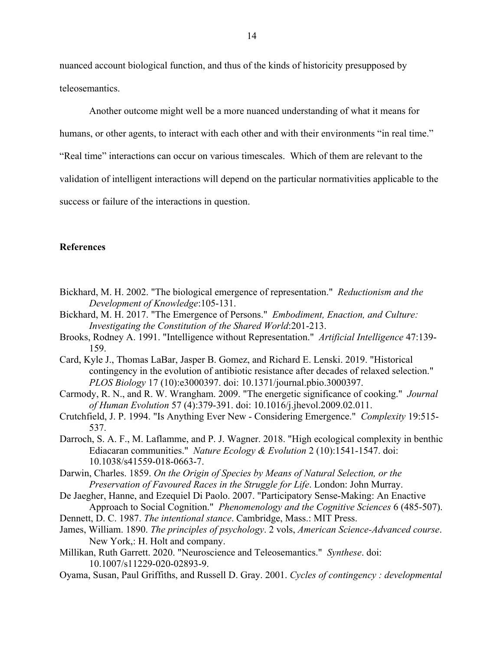nuanced account biological function, and thus of the kinds of historicity presupposed by teleosemantics.

Another outcome might well be a more nuanced understanding of what it means for

humans, or other agents, to interact with each other and with their environments "in real time."

"Real time" interactions can occur on various timescales. Which of them are relevant to the

validation of intelligent interactions will depend on the particular normativities applicable to the

success or failure of the interactions in question.

# **References**

- Bickhard, M. H. 2002. "The biological emergence of representation." *Reductionism and the Development of Knowledge*:105-131.
- Bickhard, M. H. 2017. "The Emergence of Persons." *Embodiment, Enaction, and Culture: Investigating the Constitution of the Shared World*:201-213.
- Brooks, Rodney A. 1991. "Intelligence without Representation." *Artificial Intelligence* 47:139- 159.
- Card, Kyle J., Thomas LaBar, Jasper B. Gomez, and Richard E. Lenski. 2019. "Historical contingency in the evolution of antibiotic resistance after decades of relaxed selection." *PLOS Biology* 17 (10):e3000397. doi: 10.1371/journal.pbio.3000397.
- Carmody, R. N., and R. W. Wrangham. 2009. "The energetic significance of cooking." *Journal of Human Evolution* 57 (4):379-391. doi: 10.1016/j.jhevol.2009.02.011.
- Crutchfield, J. P. 1994. "Is Anything Ever New Considering Emergence." *Complexity* 19:515- 537.
- Darroch, S. A. F., M. Laflamme, and P. J. Wagner. 2018. "High ecological complexity in benthic Ediacaran communities." *Nature Ecology & Evolution* 2 (10):1541-1547. doi: 10.1038/s41559-018-0663-7.
- Darwin, Charles. 1859. *On the Origin of Species by Means of Natural Selection, or the Preservation of Favoured Races in the Struggle for Life*. London: John Murray.
- De Jaegher, Hanne, and Ezequiel Di Paolo. 2007. "Participatory Sense-Making: An Enactive Approach to Social Cognition." *Phenomenology and the Cognitive Sciences* 6 (485-507).
- Dennett, D. C. 1987. *The intentional stance*. Cambridge, Mass.: MIT Press.
- James, William. 1890. *The principles of psychology*. 2 vols, *American Science-Advanced course*. New York,: H. Holt and company.
- Millikan, Ruth Garrett. 2020. "Neuroscience and Teleosemantics." *Synthese*. doi: 10.1007/s11229-020-02893-9.
- Oyama, Susan, Paul Griffiths, and Russell D. Gray. 2001. *Cycles of contingency : developmental*